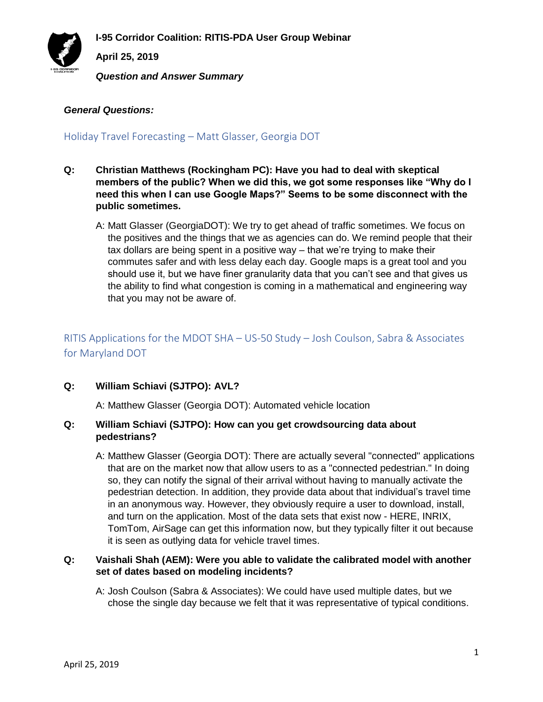**I-95 Corridor Coalition: RITIS-PDA User Group Webinar**



**April 25, 2019**

*Question and Answer Summary*

### *General Questions:*

Holiday Travel Forecasting – Matt Glasser, Georgia DOT

- **Q: Christian Matthews (Rockingham PC): Have you had to deal with skeptical members of the public? When we did this, we got some responses like "Why do I need this when I can use Google Maps?" Seems to be some disconnect with the public sometimes.**
	- A: Matt Glasser (GeorgiaDOT): We try to get ahead of traffic sometimes. We focus on the positives and the things that we as agencies can do. We remind people that their tax dollars are being spent in a positive way – that we're trying to make their commutes safer and with less delay each day. Google maps is a great tool and you should use it, but we have finer granularity data that you can't see and that gives us the ability to find what congestion is coming in a mathematical and engineering way that you may not be aware of.

# RITIS Applications for the MDOT SHA – US-50 Study – Josh Coulson, Sabra & Associates for Maryland DOT

### **Q: William Schiavi (SJTPO): AVL?**

A: Matthew Glasser (Georgia DOT): Automated vehicle location

### **Q: William Schiavi (SJTPO): How can you get crowdsourcing data about pedestrians?**

A: Matthew Glasser (Georgia DOT): There are actually several "connected" applications that are on the market now that allow users to as a "connected pedestrian." In doing so, they can notify the signal of their arrival without having to manually activate the pedestrian detection. In addition, they provide data about that individual's travel time in an anonymous way. However, they obviously require a user to download, install, and turn on the application. Most of the data sets that exist now - HERE, INRIX, TomTom, AirSage can get this information now, but they typically filter it out because it is seen as outlying data for vehicle travel times.

### **Q: Vaishali Shah (AEM): Were you able to validate the calibrated model with another set of dates based on modeling incidents?**

A: Josh Coulson (Sabra & Associates): We could have used multiple dates, but we chose the single day because we felt that it was representative of typical conditions.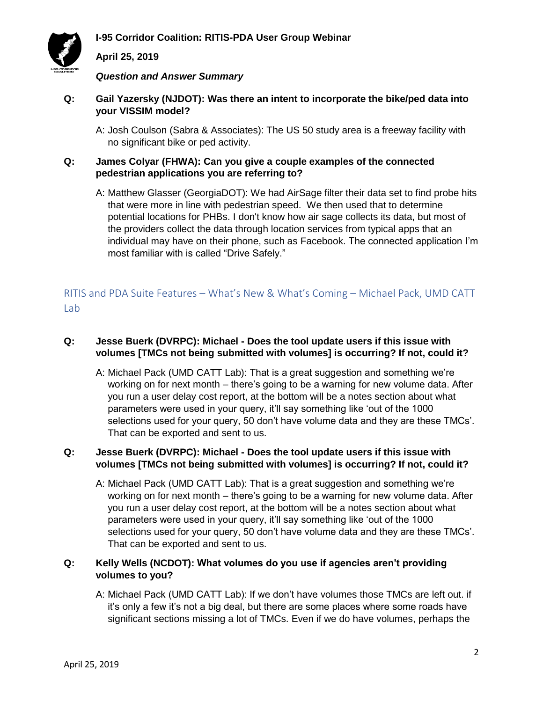



# **April 25, 2019**

*Question and Answer Summary*

- **Q: Gail Yazersky (NJDOT): Was there an intent to incorporate the bike/ped data into your VISSIM model?**
	- A: Josh Coulson (Sabra & Associates): The US 50 study area is a freeway facility with no significant bike or ped activity.
- **Q: James Colyar (FHWA): Can you give a couple examples of the connected pedestrian applications you are referring to?**
	- A: Matthew Glasser (GeorgiaDOT): We had AirSage filter their data set to find probe hits that were more in line with pedestrian speed. We then used that to determine potential locations for PHBs. I don't know how air sage collects its data, but most of the providers collect the data through location services from typical apps that an individual may have on their phone, such as Facebook. The connected application I'm most familiar with is called "Drive Safely."

RITIS and PDA Suite Features – What's New & What's Coming – Michael Pack, UMD CATT Lab

# **Q: Jesse Buerk (DVRPC): Michael - Does the tool update users if this issue with volumes [TMCs not being submitted with volumes] is occurring? If not, could it?**

A: Michael Pack (UMD CATT Lab): That is a great suggestion and something we're working on for next month – there's going to be a warning for new volume data. After you run a user delay cost report, at the bottom will be a notes section about what parameters were used in your query, it'll say something like 'out of the 1000 selections used for your query, 50 don't have volume data and they are these TMCs'. That can be exported and sent to us.

# **Q: Jesse Buerk (DVRPC): Michael - Does the tool update users if this issue with volumes [TMCs not being submitted with volumes] is occurring? If not, could it?**

A: Michael Pack (UMD CATT Lab): That is a great suggestion and something we're working on for next month – there's going to be a warning for new volume data. After you run a user delay cost report, at the bottom will be a notes section about what parameters were used in your query, it'll say something like 'out of the 1000 selections used for your query, 50 don't have volume data and they are these TMCs'. That can be exported and sent to us.

# **Q: Kelly Wells (NCDOT): What volumes do you use if agencies aren't providing volumes to you?**

A: Michael Pack (UMD CATT Lab): If we don't have volumes those TMCs are left out. if it's only a few it's not a big deal, but there are some places where some roads have significant sections missing a lot of TMCs. Even if we do have volumes, perhaps the